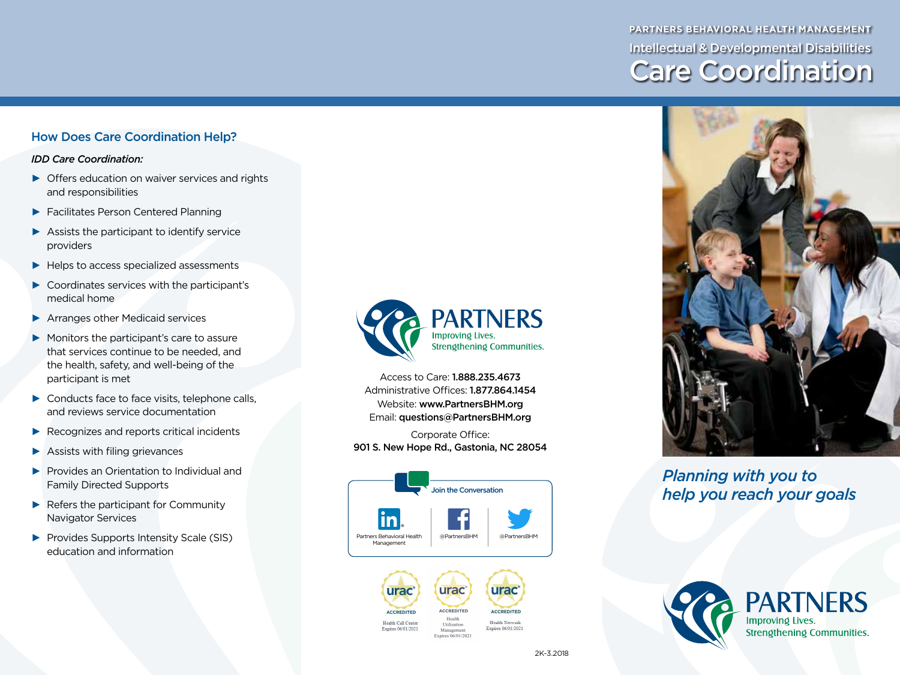# **PARTNERS BEHAVIORAL HEALTH MANAGEMENT** Intellectual & Developmental Disabilities Care Coordination

#### How Does Care Coordination Help?

*IDD Care Coordination:*

- $\triangleright$  Offers education on waiver services and rights and responsibilities
- ► Facilitates Person Centered Planning
- $\blacktriangleright$  Assists the participant to identify service providers
- ► Helps to access specialized assessments
- ► Coordinates services with the participant's medical home
- ▶ Arranges other Medicaid services
- ► Monitors the participant's care to assure that services continue to be needed, and the health, safety, and well-being of the participant is met
- ► Conducts face to face visits, telephone calls, and reviews service documentation
- ► Recognizes and reports critical incidents
- ► Assists with filing grievances
- ► Provides an Orientation to Individual and Family Directed Supports
- ► Refers the participant for Community Navigator Services
- ► Provides Supports Intensity Scale (SIS) education and information



Access to Care: 1.888.235.4673 Administrative Offices: 1.877.864.1454 Website: www.PartnersBHM.org Email: questions@PartnersBHM.org

Corporate Office: 901 S. New Hope Rd., Gastonia, NC 28054





## *Planning with you to help you reach your goals*



Management Expires 06/01/2021

Expires 06/01/2021

Health Network Expires 06/01/2021